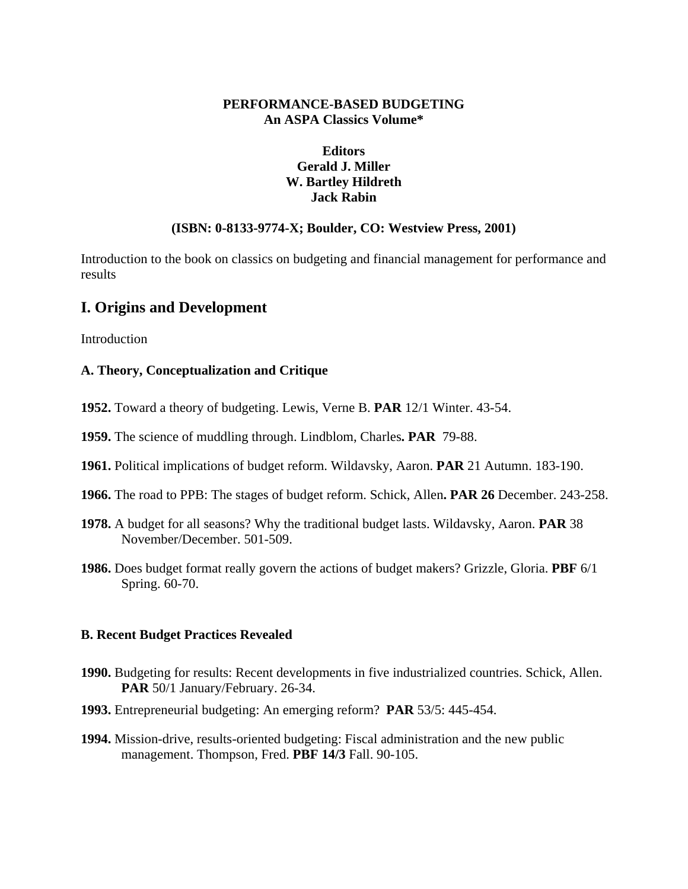# **PERFORMANCE-BASED BUDGETING An ASPA Classics Volume\***

# **Editors Gerald J. Miller W. Bartley Hildreth Jack Rabin**

### **(ISBN: 0-8133-9774-X; Boulder, CO: Westview Press, 2001)**

Introduction to the book on classics on budgeting and financial management for performance and results

# **I. Origins and Development**

**Introduction** 

### **A. Theory, Conceptualization and Critique**

- **1952.** Toward a theory of budgeting. Lewis, Verne B. **PAR** 12/1 Winter. 43-54.
- **1959.** The science of muddling through. Lindblom, Charles**. PAR** 79-88.
- **1961.** Political implications of budget reform. Wildavsky, Aaron. **PAR** 21 Autumn. 183-190.
- **1966.** The road to PPB: The stages of budget reform. Schick, Allen**. PAR 26** December. 243-258.
- **1978.** A budget for all seasons? Why the traditional budget lasts. Wildavsky, Aaron. **PAR** 38 November/December. 501-509.
- **1986.** Does budget format really govern the actions of budget makers? Grizzle, Gloria. **PBF** 6/1 Spring. 60-70.

#### **B. Recent Budget Practices Revealed**

- **1990.** Budgeting for results: Recent developments in five industrialized countries. Schick, Allen. PAR 50/1 January/February. 26-34.
- **1993.** Entrepreneurial budgeting: An emerging reform? **PAR** 53/5: 445-454.
- **1994.** Mission-drive, results-oriented budgeting: Fiscal administration and the new public management. Thompson, Fred. **PBF 14/3** Fall. 90-105.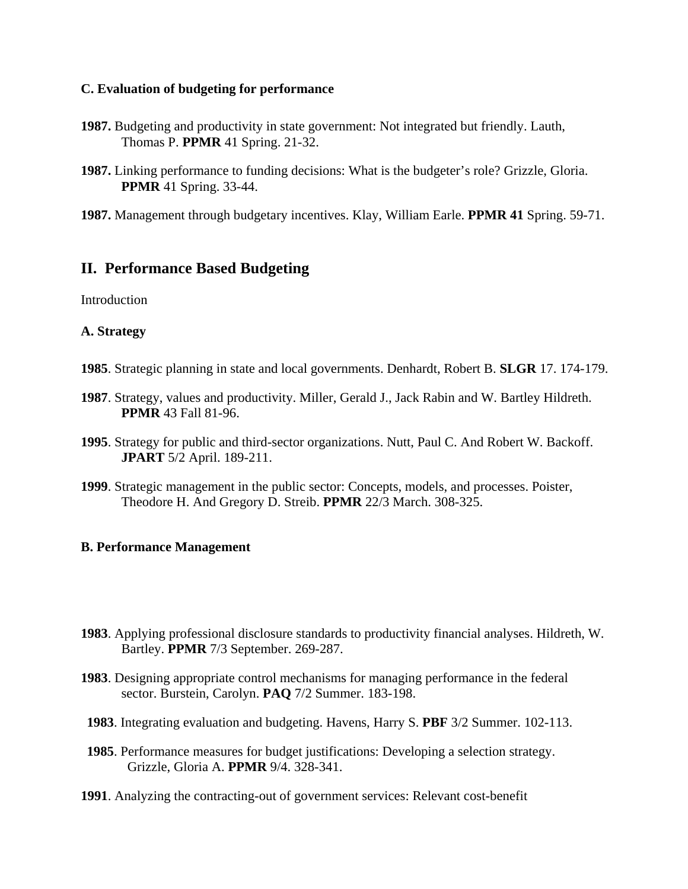### **C. Evaluation of budgeting for performance**

- **1987.** Budgeting and productivity in state government: Not integrated but friendly. Lauth, Thomas P. **PPMR** 41 Spring. 21-32.
- **1987.** Linking performance to funding decisions: What is the budgeter's role? Grizzle, Gloria. **PPMR** 41 Spring. 33-44.
- **1987.** Management through budgetary incentives. Klay, William Earle. **PPMR 41** Spring. 59-71.

# **II. Performance Based Budgeting**

**Introduction** 

## **A. Strategy**

- **1985**. Strategic planning in state and local governments. Denhardt, Robert B. **SLGR** 17. 174-179.
- **1987**. Strategy, values and productivity. Miller, Gerald J., Jack Rabin and W. Bartley Hildreth. **PPMR** 43 Fall 81-96.
- **1995**. Strategy for public and third-sector organizations. Nutt, Paul C. And Robert W. Backoff. **JPART** 5/2 April. 189-211.
- **1999**. Strategic management in the public sector: Concepts, models, and processes. Poister, Theodore H. And Gregory D. Streib. **PPMR** 22/3 March. 308-325.

### **B. Performance Management**

- **1983**. Applying professional disclosure standards to productivity financial analyses. Hildreth, W. Bartley. **PPMR** 7/3 September. 269-287.
- **1983**. Designing appropriate control mechanisms for managing performance in the federal sector. Burstein, Carolyn. **PAQ** 7/2 Summer. 183-198.
- **1983**. Integrating evaluation and budgeting. Havens, Harry S. **PBF** 3/2 Summer. 102-113.
- **1985**. Performance measures for budget justifications: Developing a selection strategy. Grizzle, Gloria A. **PPMR** 9/4. 328-341.
- **1991**. Analyzing the contracting-out of government services: Relevant cost-benefit